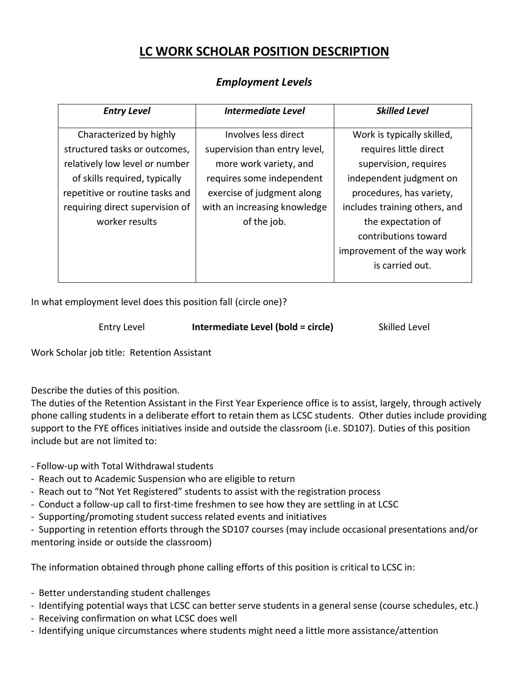## **LC WORK SCHOLAR POSITION DESCRIPTION**

## *Entry Level Intermediate Level Skilled Level* Characterized by highly structured tasks or outcomes, relatively low level or number of skills required, typically repetitive or routine tasks and requiring direct supervision of worker results Involves less direct supervision than entry level, more work variety, and requires some independent exercise of judgment along with an increasing knowledge of the job. Work is typically skilled, requires little direct supervision, requires independent judgment on procedures, has variety, includes training others, and the expectation of contributions toward improvement of the way work is carried out.

## *Employment Levels*

In what employment level does this position fall (circle one)?

| Entry Level | Intermediate Level (bold = circle) | Skilled Level |
|-------------|------------------------------------|---------------|
|-------------|------------------------------------|---------------|

Work Scholar job title: Retention Assistant

Describe the duties of this position.

The duties of the Retention Assistant in the First Year Experience office is to assist, largely, through actively phone calling students in a deliberate effort to retain them as LCSC students. Other duties include providing support to the FYE offices initiatives inside and outside the classroom (i.e. SD107). Duties of this position include but are not limited to:

- Follow-up with Total Withdrawal students

- Reach out to Academic Suspension who are eligible to return
- Reach out to "Not Yet Registered" students to assist with the registration process
- Conduct a follow-up call to first-time freshmen to see how they are settling in at LCSC
- Supporting/promoting student success related events and initiatives
- Supporting in retention efforts through the SD107 courses (may include occasional presentations and/or mentoring inside or outside the classroom)

The information obtained through phone calling efforts of this position is critical to LCSC in:

- Better understanding student challenges
- Identifying potential ways that LCSC can better serve students in a general sense (course schedules, etc.)
- Receiving confirmation on what LCSC does well
- Identifying unique circumstances where students might need a little more assistance/attention